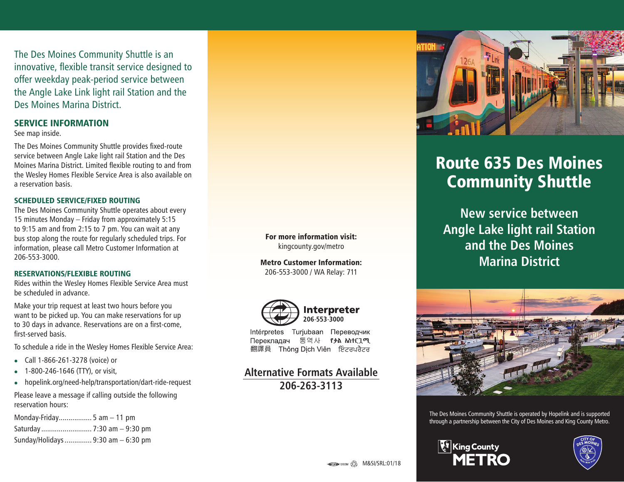The Des Moines Community Shuttle is an innovative, flexible transit service designed to offer weekday peak-period service between the Angle Lake Link light rail Station and the Des Moines Marina District.

### SERVICE INFORMATION

See map inside.

The Des Moines Community Shuttle provides fixed-route service between Angle Lake light rail Station and the Des Moines Marina District. Limited flexible routing to and from the Wesley Homes Flexible Service Area is also available on a reservation basis.

### SCHEDULED SERVICE/FIXED ROUTING

The Des Moines Community Shuttle operates about every 15 minutes Monday – Friday from approximately 5:15 to 9:15 am and from 2:15 to 7 pm. You can wait at any bus stop along the route for regularly scheduled trips. For information, please call Metro Customer Information at 206-553-3000.

#### RESERVATIONS/FLEXIBLE ROUTING

Rides within the Wesley Homes Flexible Service Area must be scheduled in advance.

Make your trip request at least two hours before you want to be picked up. You can make reservations for up to 30 days in advance. Reservations are on a first-come, first-served basis.

To schedule a ride in the Wesley Homes Flexible Service Area:

- <sup>z</sup> Call 1-866-261-3278 (voice) or
- <sup>z</sup> 1-800-246-1646 (TTY), or visit,
- hopelink.org/need-help/transportation/dart-ride-request

Please leave a message if calling outside the following reservation hours:

Monday-Friday................. 5 am – 11 pm Saturday .......................... 7:30 am – 9:30 pm Sunday/Holidays.............. 9:30 am – 6:30 pm



Metro Customer Information: 206-553-3000 / WA Relay: 711



Intérpretes Turjubaan Переводчик Перекладач 통역사 የቃል አስተርጊሚ 翻譯員 Thông Dịch Viên ਇੰਟਰਪਰੈਟਰ

## **Alternative Formats Available 206-263-3113**



# Route 635 Des Moines Community Shuttle

**New service between Angle Lake light rail Station and the Des Moines Marina District**



The Des Moines Community Shuttle is operated by Hopelink and is supported through a partnership between the City of Des Moines and King County Metro.